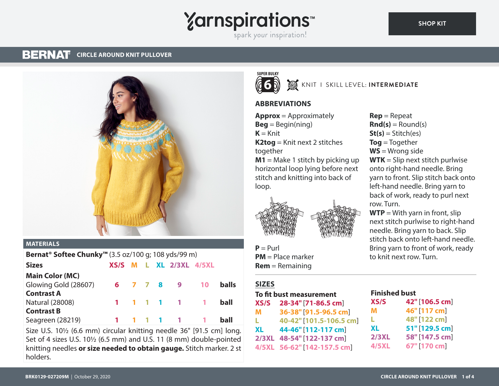# **Yarnspirations** spark your inspiration!

#### **BERNAT CIRCLE AROUND KNIT PULLOVER**



#### **MATERIALS**

| Bernat <sup>®</sup> Softee Chunky <sup>™</sup> (3.5 oz/100 g; 108 yds/99 m) |  |  |                         |                   |              |
|-----------------------------------------------------------------------------|--|--|-------------------------|-------------------|--------------|
| <b>Sizes</b>                                                                |  |  | XS/S M L XL 2/3XL 4/5XL |                   |              |
| <b>Main Color (MC)</b>                                                      |  |  |                         |                   |              |
| Glowing Gold (28607)                                                        |  |  | 6 7 7 8 9               | $\blacksquare$ 10 | <b>balls</b> |
| <b>Contrast A</b>                                                           |  |  |                         |                   |              |
| <b>Natural (28008)</b>                                                      |  |  | 1 1 1 1 1 1             |                   | ball         |
| <b>Contrast B</b>                                                           |  |  |                         |                   |              |
| Seagreen (28219)                                                            |  |  | 1 1 1 1 1 1             |                   | ball         |

Size U.S. 10<sup>1</sup>/<sub>2</sub> (6.6 mm) circular knitting needle 36" [91.5 cm] long. Set of 4 sizes U.S. 10½ (6.5 mm) and U.S. 11 (8 mm) double-pointed knitting needles **or size needed to obtain gauge.** Stitch marker. 2 st holders.



# **W** KNIT I SKILL LEVEL: **INTERMEDIATE**

## **ABBREVIATIONS**

**Approx** = Approximately  $Beq = Beqin(ning)$  $K =$ Knit **K2tog** = Knit next 2 stitches together **M1** = Make 1 stitch by picking up horizontal loop lying before next stitch and knitting into back of



 $P = Purl$ **PM** = Place marker **Rem** = Remaining

## **SIZES**

loop.

#### **To fit bust measurement**

| XS/S      | 28-34" [71-86.5 cm]         |
|-----------|-----------------------------|
| M         | 36-38" [91.5-96.5 cm]       |
| L.        | 40-42" [101.5-106.5 cm]     |
| <b>XL</b> | 44-46" [112-117 cm]         |
|           | 2/3XL 48-54" [122-137 cm]   |
|           | 4/5XL 56-62" [142-157.5 cm] |

**Rep** = Repeat  $\mathbf{Rnd}(s) = \text{Round}(s)$  $St(s) = Stitch(es)$ **Tog** = Together **WS** = Wrong side **WTK** = Slip next stitch purlwise onto right-hand needle. Bring yarn to front. Slip stitch back onto left-hand needle. Bring yarn to back of work, ready to purl next row. Turn.

 $WTP = With$  yarn in front, slip next stitch purlwise to right-hand needle. Bring yarn to back. Slip stitch back onto left-hand needle. Bring yarn to front of work, ready to knit next row. Turn.

# **Finished bust**

| <b>XS/S</b>  | 42" [106.5 cm] |
|--------------|----------------|
| м            | 46" [117 cm]   |
| L            | 48" [122 cm]   |
| XL           | 51" [129.5 cm] |
| <b>2/3XL</b> | 58" [147.5 cm] |
| <b>4/5XL</b> | 67" [170 cm]   |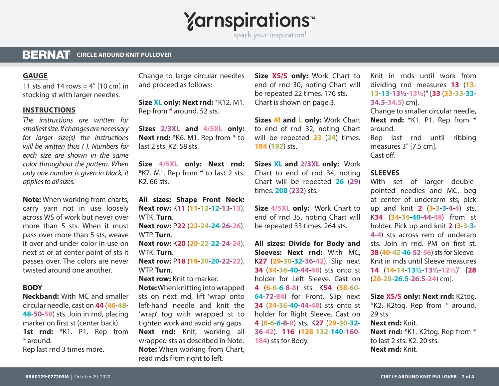**Yarnspirations** 

spark your inspiration!

#### **BERNAT CIRCLE AROUND KNIT PULLOVER**

#### **GAUGE**

11 sts and 14 rows  $=$  4" [10 cm] in stocking st with larger needles.

#### **INSTRUCTIONS**

*The instructions are written for smallest size. If changes are necessary for larger size(s) the instructions will be written thus ( ). Numbers for each size are shown in the same color throughout the pattern. When only one number is given in black, it applies to all sizes.* 

**Note:** When working from charts, carry yarn not in use loosely across WS of work but never over more than 5 sts. When it must pass over more than 5 sts, weave it over and under color in use on next st or at center point of sts it passes over. The colors are never twisted around one another.

#### **BODY**

**Neckband:** With MC and smaller circular needle, cast on **44** (**46**-**48**- **48**-**50**-**50**) sts. Join in rnd, placing marker on first st (center back). 1st rnd: \*K1. P1. Rep from \* around.

Rep last rnd 3 times more.

Change to large circular needles and proceed as follows:

**Size XL only: Next rnd:** \*K12. M1. Rep from \* around. 52 sts.

**Sizes 2/3XL and 4/5XL only: Next rnd:** \*K6. M1. Rep from \* to last 2 sts. K2. 58 sts.

**Size 4/5XL only: Next rnd:** \*K7. M1. Rep from \* to last 2 sts. K2. 66 sts.

**All sizes: Shape Front Neck: Next row:** K**11** (**11**-**12**-**12**-**13**-**13**). WTK. **Turn**. **Next row:** P**22** (**22**-**24**-**24**-**26**-**26**).

WTP. **Turn**.

**Next row:** K**20** (**20**-**22**-**22**-**24**-**24**). WTK. **Turn**.

**Next row:** P**18** (**18**-**20**-**20**-**22**-**22**). WTP. **Turn**.

**Next row:** Knit to marker.

**Note:** When knitting into wrapped sts on next rnd, lift 'wrap' onto left-hand needle and knit the 'wrap' tog with wrapped st to tighten work and avoid any gaps. **Next rnd:** Knit, working all wrapped sts as described in Note. **Note:** When working from Chart, read rnds from right to left.

**Size XS/S only:** Work Chart to end of rnd 30, noting Chart will be repeated 22 times. 176 sts. Chart is shown on page 3.

**Sizes M and L only:** Work Chart to end of rnd 32, noting Chart will be repeated **23** (**24**) times. **184** (**192**) sts.

**Sizes XL and 2/3XL only:** Work Chart to end of rnd 34, noting Chart will be repeated **26** (**29**) times. **208** (**232**) sts.

**Size 4/5XL only:** Work Chart to end of rnd 35, noting Chart will be repeated 33 times. 264 sts.

**All sizes: Divide for Body and Sleeves: Next rnd:** With MC, K**27** (**29**-**30**-**32**-**36**-**42**). Slip next **34** (**34**-**36**-**40**-**44**-**48**) sts onto st holder for Left Sleeve. Cast on **4** (**6**-**6**-**6**-**8**-**8**) sts. K**54** (**58**-**60**- **64**-**72**-**84**) for Front. Slip next **34** (**34**-**36**-**40**-**44**-**48**) sts onto st holder for Right Sleeve. Cast on **4** (**6**-**6**-**6**-**8**-**8**) sts. K**27** (**29**-**30**-**32**- **36**-**42**). **116** (**128**-**132**-**140**-**160**- **184**) sts for Body.

Knit in rnds until work from dividing rnd measures **13** (**13**- **13**-**13**-**13½**-**13½**)" [**33** (**33**-**33**-**33**- **34.5**-**34.5**) cm].

Change to smaller circular needle, Next rnd: \*K1. P1. Rep from \* around.

Rep last rnd until ribbing measures 3" [7.5 cm]. Cast off.

#### **SLEEVES**

With set of larger doublepointed needles and MC, beg at center of underarm sts, pick up and knit **2** (**3**-**3**-**3**-**4**-**4**) sts. K**34** (**34**-**36**-**40**-**44**-**48**) from st holder. Pick up and knit **2** (**3**-**3**-**3**- **4**-**4**) sts across rem of underam sts. Join in rnd. PM on first st. **38** (**40**-**42**-**46**-**52**-**56**) sts for Sleeve. Knit in rnds until Sleeve measures **14** (**14**-**14**-**13½**-**13½**-**12½**)" [**28**  (**28**-**28**-**26.5**-**26.5**-**24**) cm].

**Size XS/S only: Next rnd:** K2tog. \*K2. K2tog. Rep from \* around. 29 sts. **Next rnd:** Knit.

**Next rnd:** \*K1. K2tog. Rep from \* to last 2 sts. K2. 20 sts. **Next rnd:** Knit.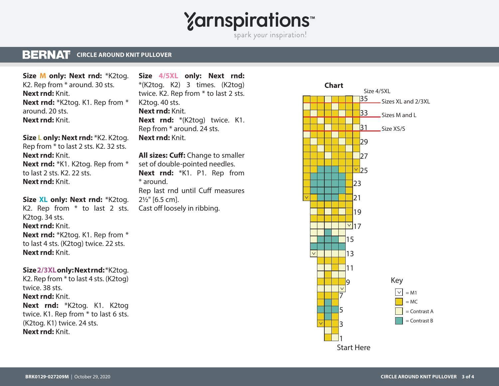# **Yarnspirations**

spark your inspiration!

#### **BERNAT CIRCLE AROUND KNIT PULLOVER**

**Size M only: Next rnd:** \*K2tog. K2. Rep from \* around. 30 sts. **Next rnd:** Knit. **Next rnd:** \*K2tog. K1. Rep from \* around. 20 sts. **Next rnd:** Knit.

**Size L only: Next rnd:** \*K2. K2tog. Rep from \* to last 2 sts. K2. 32 sts. **Next rnd:** Knit. **Next rnd:** \*K1. K2tog. Rep from \* to last 2 sts. K2. 22 sts. **Next rnd:** Knit.

**Size XL only: Next rnd:** \*K2tog. K2. Rep from \* to last 2 sts. K2tog. 34 sts. **Next rnd:** Knit. **Next rnd:** \*K2tog. K1. Rep from \* to last 4 sts. (K2tog) twice. 22 sts. **Next rnd:** Knit.

#### **Size 2/3XL only: Next rnd:** \*K2tog.

K2. Rep from \* to last 4 sts. (K2tog) twice. 38 sts. **Next rnd:** Knit. **Next rnd:** \*K2tog. K1. K2tog twice. K1. Rep from \* to last 6 sts. (K2tog. K1) twice. 24 sts. **Next rnd:** Knit.

**Size 4/5XL only: Next rnd:** \*(K2tog. K2) 3 times. (K2tog) twice. K2. Rep from \* to last 2 sts. K2tog. 40 sts. **Next rnd:** Knit. **Next rnd:** \*(K2tog) twice. K1. Rep from \* around. 24 sts. **Next rnd:** Knit.

**All sizes: Cuff:** Change to smaller set of double-pointed needles. **Next rnd:** \*K1. P1. Rep from \* around. Rep last rnd until Cuff measures 2½" [6.5 cm]. Cast off loosely in ribbing.